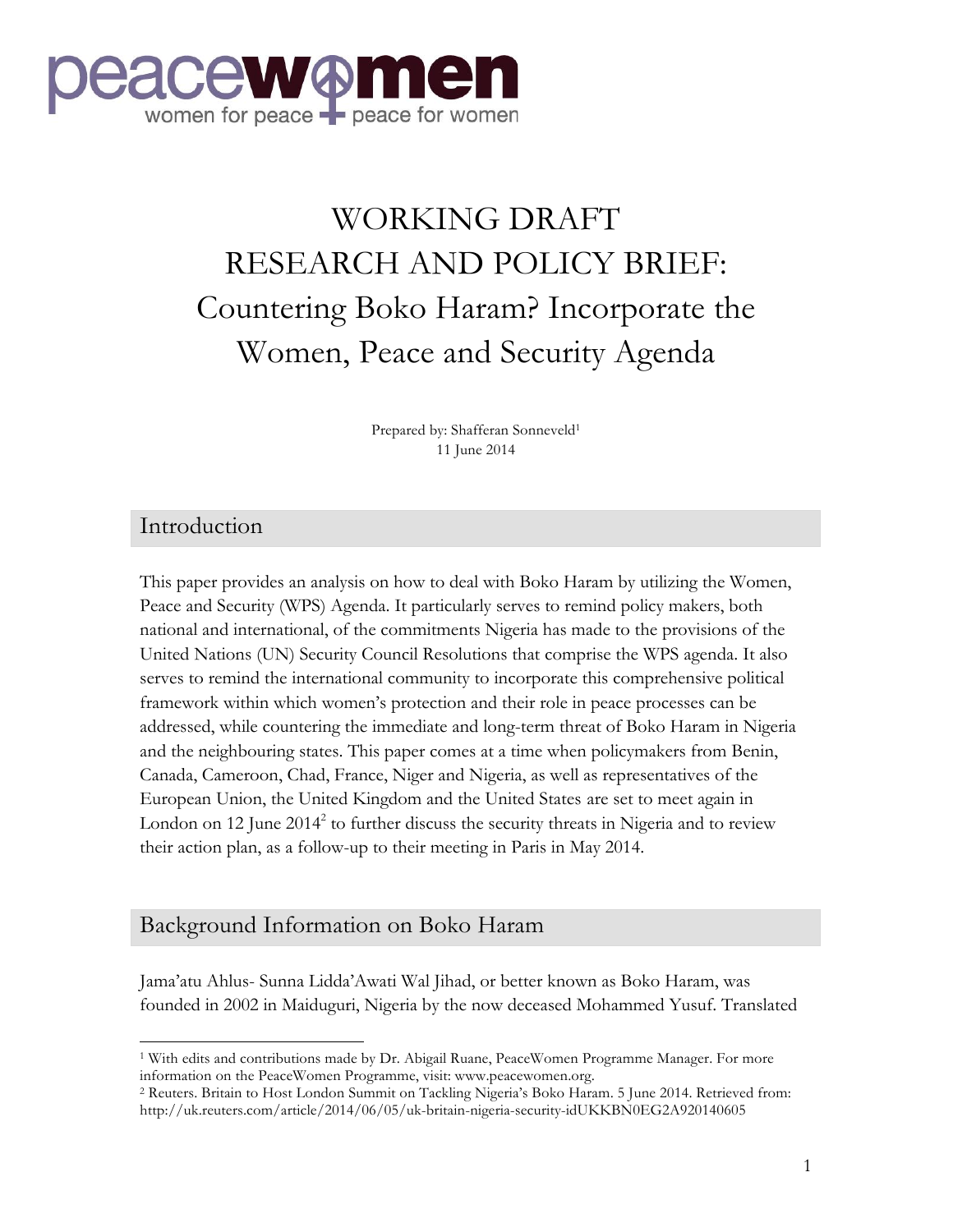

# WORKING DRAFT RESEARCH AND POLICY BRIEF: Countering Boko Haram? Incorporate the Women, Peace and Security Agenda

Prepared by: Shafferan Sonneveld<sup>1</sup> 11 June 2014

#### Introduction

This paper provides an analysis on how to deal with Boko Haram by utilizing the Women, Peace and Security (WPS) Agenda. It particularly serves to remind policy makers, both national and international, of the commitments Nigeria has made to the provisions of the United Nations (UN) Security Council Resolutions that comprise the WPS agenda. It also serves to remind the international community to incorporate this comprehensive political framework within which women's protection and their role in peace processes can be addressed, while countering the immediate and long-term threat of Boko Haram in Nigeria and the neighbouring states. This paper comes at a time when policymakers from Benin, Canada, Cameroon, Chad, France, Niger and Nigeria, as well as representatives of the European Union, the United Kingdom and the United States are set to meet again in London on 12 June  $2014^2$  to further discuss the security threats in Nigeria and to review their action plan, as a follow-up to their meeting in Paris in May 2014.

#### Background Information on Boko Haram

 

Jama'atu Ahlus- Sunna Lidda'Awati Wal Jihad, or better known as Boko Haram, was founded in 2002 in Maiduguri, Nigeria by the now deceased Mohammed Yusuf. Translated

<sup>1</sup> With edits and contributions made by Dr. Abigail Ruane, PeaceWomen Programme Manager. For more information on the PeaceWomen Programme, visit: www.peacewomen.org.

<sup>2</sup> Reuters. Britain to Host London Summit on Tackling Nigeria's Boko Haram. 5 June 2014. Retrieved from: http://uk.reuters.com/article/2014/06/05/uk-britain-nigeria-security-idUKKBN0EG2A920140605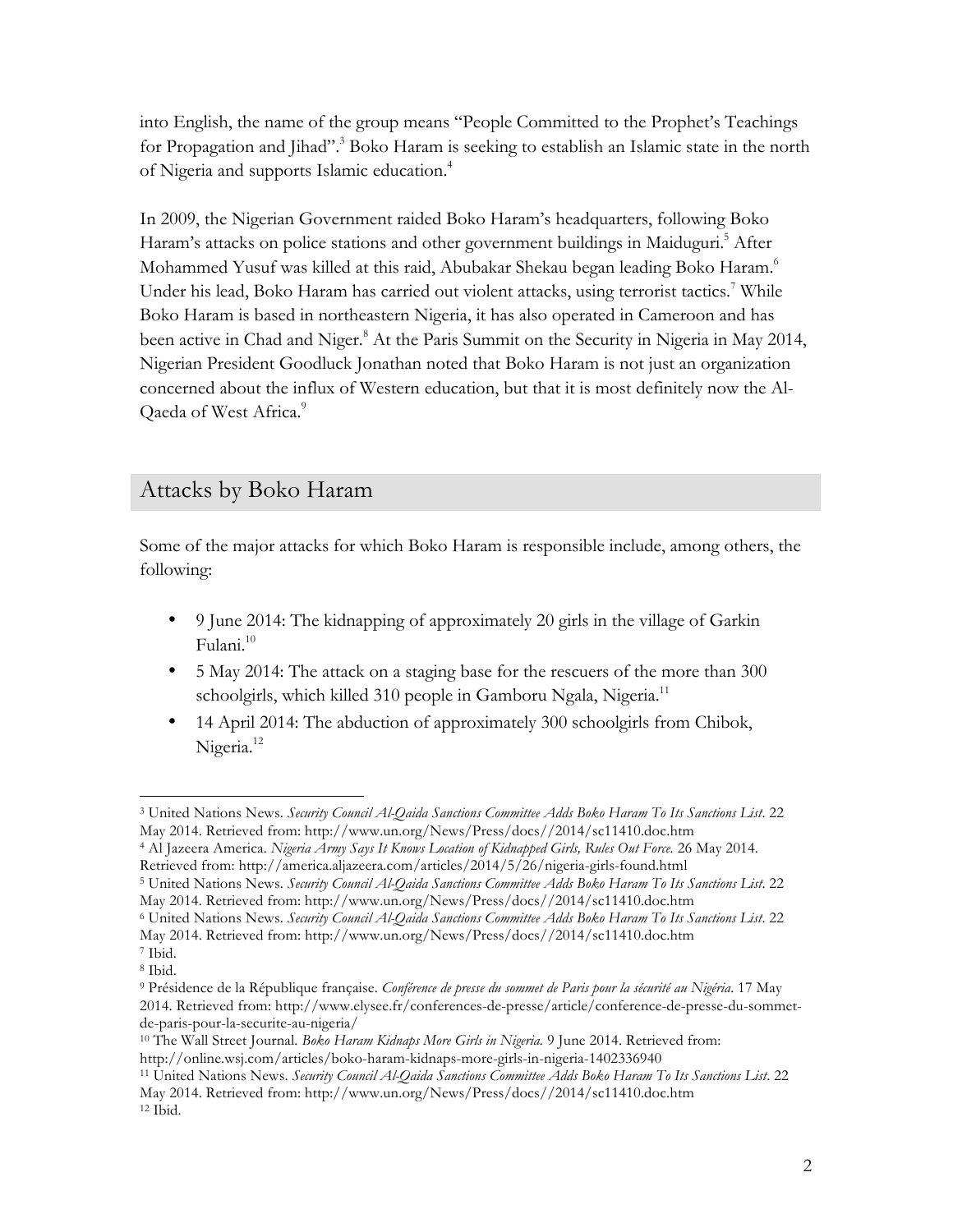into English, the name of the group means "People Committed to the Prophet's Teachings for Propagation and Jihad".<sup>3</sup> Boko Haram is seeking to establish an Islamic state in the north of Nigeria and supports Islamic education. 4

In 2009, the Nigerian Government raided Boko Haram's headquarters, following Boko Haram's attacks on police stations and other government buildings in Maiduguri.<sup>5</sup> After Mohammed Yusuf was killed at this raid, Abubakar Shekau began leading Boko Haram.6 Under his lead, Boko Haram has carried out violent attacks, using terrorist tactics.<sup>7</sup> While Boko Haram is based in northeastern Nigeria, it has also operated in Cameroon and has been active in Chad and Niger.<sup>8</sup> At the Paris Summit on the Security in Nigeria in May 2014, Nigerian President Goodluck Jonathan noted that Boko Haram is not just an organization concerned about the influx of Western education, but that it is most definitely now the Al-Qaeda of West Africa.<sup>9</sup>

### Attacks by Boko Haram

Some of the major attacks for which Boko Haram is responsible include, among others, the following:

- 9 June 2014: The kidnapping of approximately 20 girls in the village of Garkin Fulani.10
- 5 May 2014: The attack on a staging base for the rescuers of the more than 300 schoolgirls, which killed 310 people in Gamboru Ngala, Nigeria.<sup>11</sup>
- 14 April 2014: The abduction of approximately 300 schoolgirls from Chibok, Nigeria.<sup>12</sup>

- <sup>4</sup> Al Jazeera America. *Nigeria Army Says It Knows Location of Kidnapped Girls, Rules Out Force.* 26 May 2014. Retrieved from: http://america.aljazeera.com/articles/2014/5/26/nigeria-girls-found.html<br><sup>5</sup> United Nations News. *Security Council Al-Oaida Sanctions Committee Adds Boko Haram To Its Sanctions List.* 22
- May 2014. Retrieved from: http://www.un.org/News/Press/docs//2014/sc11410.doc.htm

 <sup>3</sup> United Nations News. *Security Council Al-Qaida Sanctions Committee Adds Boko Haram To Its Sanctions List*. 22 May 2014. Retrieved from: http://www.un.org/News/Press/docs//2014/sc11410.doc.htm

<sup>6</sup> United Nations News. *Security Council Al-Qaida Sanctions Committee Adds Boko Haram To Its Sanctions List*. 22 May 2014. Retrieved from: http://www.un.org/News/Press/docs//2014/sc11410.doc.htm

<sup>7</sup> Ibid. <sup>8</sup> Ibid.

<sup>9</sup> Présidence de la République française. *Conférence de presse du sommet de Paris pour la sécurité au Nigéria*. 17 May 2014. Retrieved from: http://www.elysee.fr/conferences-de-presse/article/conference-de-presse-du-sommetde-paris-pour-la-securite-au-nigeria/

<sup>10</sup> The Wall Street Journal. *Boko Haram Kidnaps More Girls in Nigeria.* 9 June 2014. Retrieved from: http://online.wsj.com/articles/boko-haram-kidnaps-more-girls-in-nigeria-1402336940

<sup>11</sup> United Nations News. *Security Council Al-Qaida Sanctions Committee Adds Boko Haram To Its Sanctions List*. 22 May 2014. Retrieved from: http://www.un.org/News/Press/docs//2014/sc11410.doc.htm <sup>12</sup> Ibid.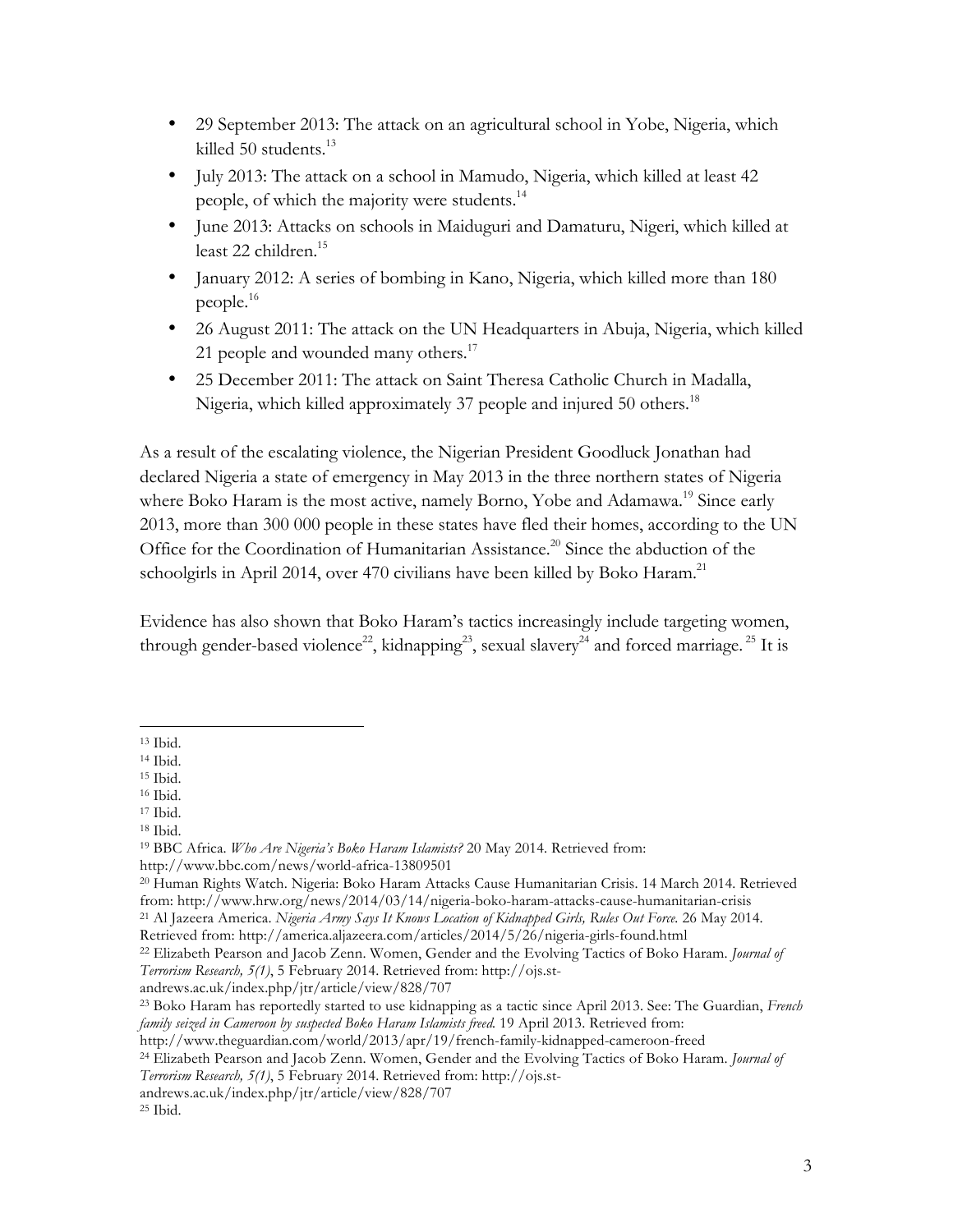- 29 September 2013: The attack on an agricultural school in Yobe, Nigeria, which killed 50 students.<sup>13</sup>
- July 2013: The attack on a school in Mamudo, Nigeria, which killed at least 42 people, of which the majority were students.14
- June 2013: Attacks on schools in Maiduguri and Damaturu, Nigeri, which killed at least 22 children.<sup>15</sup>
- January 2012: A series of bombing in Kano, Nigeria, which killed more than 180 people.16
- 26 August 2011: The attack on the UN Headquarters in Abuja, Nigeria, which killed 21 people and wounded many others.<sup>17</sup>
- 25 December 2011: The attack on Saint Theresa Catholic Church in Madalla, Nigeria, which killed approximately 37 people and injured 50 others.<sup>18</sup>

As a result of the escalating violence, the Nigerian President Goodluck Jonathan had declared Nigeria a state of emergency in May 2013 in the three northern states of Nigeria where Boko Haram is the most active, namely Borno, Yobe and Adamawa.<sup>19</sup> Since early 2013, more than 300 000 people in these states have fled their homes, according to the UN Office for the Coordination of Humanitarian Assistance.<sup>20</sup> Since the abduction of the schoolgirls in April 2014, over 470 civilians have been killed by Boko Haram.<sup>21</sup>

Evidence has also shown that Boko Haram's tactics increasingly include targeting women, through gender-based violence<sup>22</sup>, kidnapping<sup>23</sup>, sexual slavery<sup>24</sup> and forced marriage.<sup>25</sup> It is

andrews.ac.uk/index.php/jtr/article/view/828/707

 <sup>13</sup> Ibid.

<sup>14</sup> Ibid.

<sup>15</sup> Ibid.

<sup>16</sup> Ibid.

<sup>17</sup> Ibid. <sup>18</sup> Ibid.

<sup>19</sup> BBC Africa. *Who Are Nigeria's Boko Haram Islamists?* 20 May 2014. Retrieved from: http://www.bbc.com/news/world-africa-13809501

<sup>20</sup> Human Rights Watch. Nigeria: Boko Haram Attacks Cause Humanitarian Crisis. 14 March 2014. Retrieved from: http://www.hrw.org/news/2014/03/14/nigeria-boko-haram-attacks-cause-humanitarian-crisis <sup>21</sup> Al Jazeera America. *Nigeria Army Says It Knows Location of Kidnapped Girls, Rules Out Force.* 26 May 2014.

Retrieved from: http://america.aljazeera.com/articles/2014/5/26/nigeria-girls-found.html

<sup>22</sup> Elizabeth Pearson and Jacob Zenn. Women, Gender and the Evolving Tactics of Boko Haram. *Journal of Terrorism Research, 5(1)*, 5 February 2014. Retrieved from: http://ojs.st-

<sup>23</sup> Boko Haram has reportedly started to use kidnapping as a tactic since April 2013. See: The Guardian, *French family seized in Cameroon by suspected Boko Haram Islamists freed.* 19 April 2013. Retrieved from:

http://www.theguardian.com/world/2013/apr/19/french-family-kidnapped-cameroon-freed

<sup>24</sup> Elizabeth Pearson and Jacob Zenn. Women, Gender and the Evolving Tactics of Boko Haram. *Journal of Terrorism Research, 5(1)*, 5 February 2014. Retrieved from: http://ojs.st-

andrews.ac.uk/index.php/jtr/article/view/828/707

<sup>25</sup> Ibid.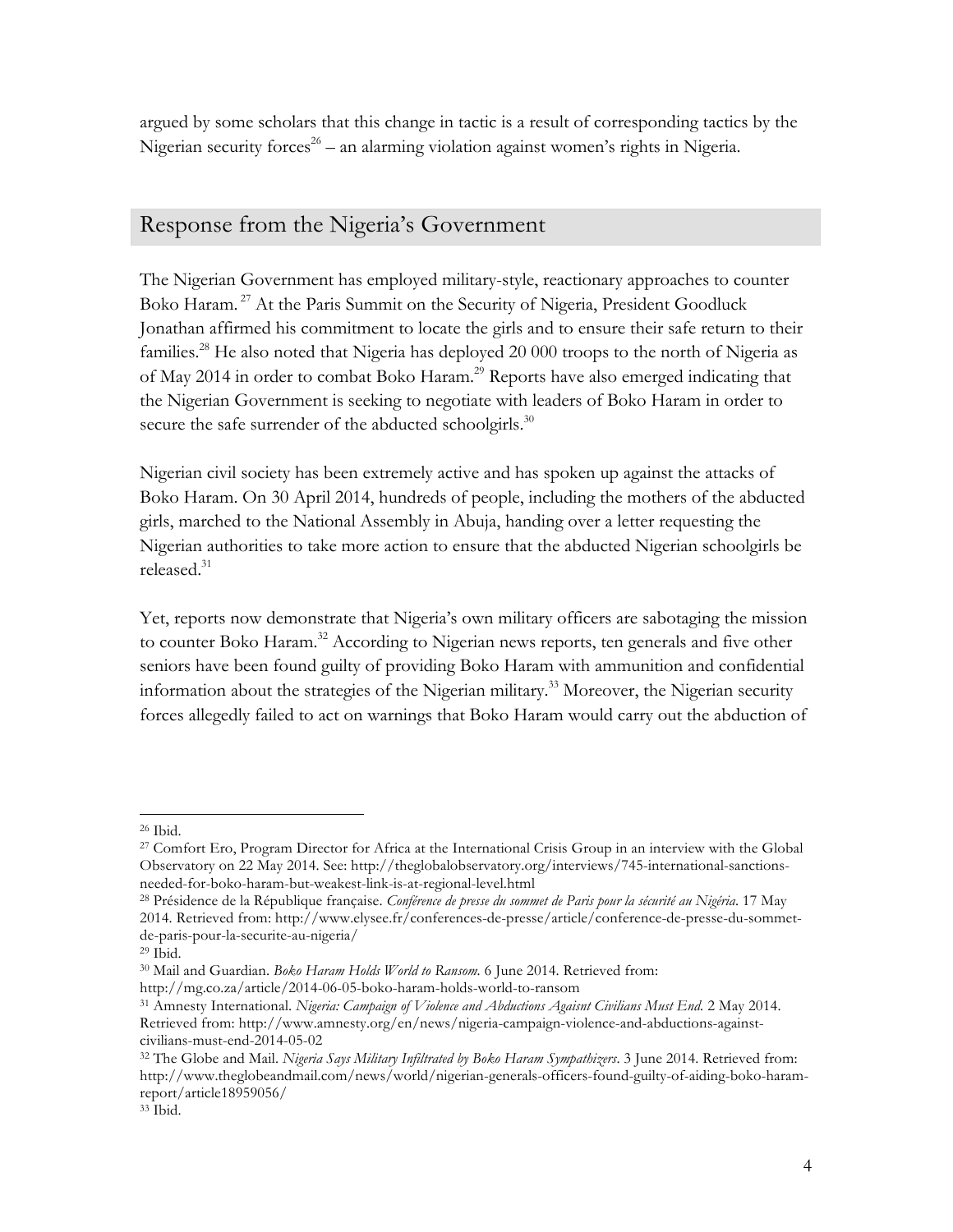argued by some scholars that this change in tactic is a result of corresponding tactics by the Nigerian security forces<sup>26</sup> – an alarming violation against women's rights in Nigeria.

## Response from the Nigeria's Government

The Nigerian Government has employed military-style, reactionary approaches to counter Boko Haram.<sup>27</sup> At the Paris Summit on the Security of Nigeria, President Goodluck Jonathan affirmed his commitment to locate the girls and to ensure their safe return to their families.<sup>28</sup> He also noted that Nigeria has deployed 20 000 troops to the north of Nigeria as of May 2014 in order to combat Boko Haram.<sup>29</sup> Reports have also emerged indicating that the Nigerian Government is seeking to negotiate with leaders of Boko Haram in order to secure the safe surrender of the abducted schoolgirls.<sup>30</sup>

Nigerian civil society has been extremely active and has spoken up against the attacks of Boko Haram. On 30 April 2014, hundreds of people, including the mothers of the abducted girls, marched to the National Assembly in Abuja, handing over a letter requesting the Nigerian authorities to take more action to ensure that the abducted Nigerian schoolgirls be released.<sup>31</sup>

Yet, reports now demonstrate that Nigeria's own military officers are sabotaging the mission to counter Boko Haram.<sup>32</sup> According to Nigerian news reports, ten generals and five other seniors have been found guilty of providing Boko Haram with ammunition and confidential information about the strategies of the Nigerian military.<sup>33</sup> Moreover, the Nigerian security forces allegedly failed to act on warnings that Boko Haram would carry out the abduction of

<sup>26</sup> Ibid.

<sup>27</sup> Comfort Ero, Program Director for Africa at the International Crisis Group in an interview with the Global Observatory on 22 May 2014. See: http://theglobalobservatory.org/interviews/745-international-sanctionsneeded-for-boko-haram-but-weakest-link-is-at-regional-level.html

<sup>28</sup> Présidence de la République française. *Conférence de presse du sommet de Paris pour la sécurité au Nigéria*. 17 May 2014. Retrieved from: http://www.elysee.fr/conferences-de-presse/article/conference-de-presse-du-sommetde-paris-pour-la-securite-au-nigeria/

<sup>29</sup> Ibid.

<sup>30</sup> Mail and Guardian. *Boko Haram Holds World to Ransom.* 6 June 2014. Retrieved from: http://mg.co.za/article/2014-06-05-boko-haram-holds-world-to-ransom

<sup>31</sup> Amnesty International. *Nigeria: Campaign of Violence and Abductions Agaisnt Civilians Must End.* 2 May 2014. Retrieved from: http://www.amnesty.org/en/news/nigeria-campaign-violence-and-abductions-againstcivilians-must-end-2014-05-02

<sup>32</sup> The Globe and Mail. *Nigeria Says Military Infiltrated by Boko Haram Sympathizers*. 3 June 2014. Retrieved from: http://www.theglobeandmail.com/news/world/nigerian-generals-officers-found-guilty-of-aiding-boko-haramreport/article18959056/

<sup>33</sup> Ibid.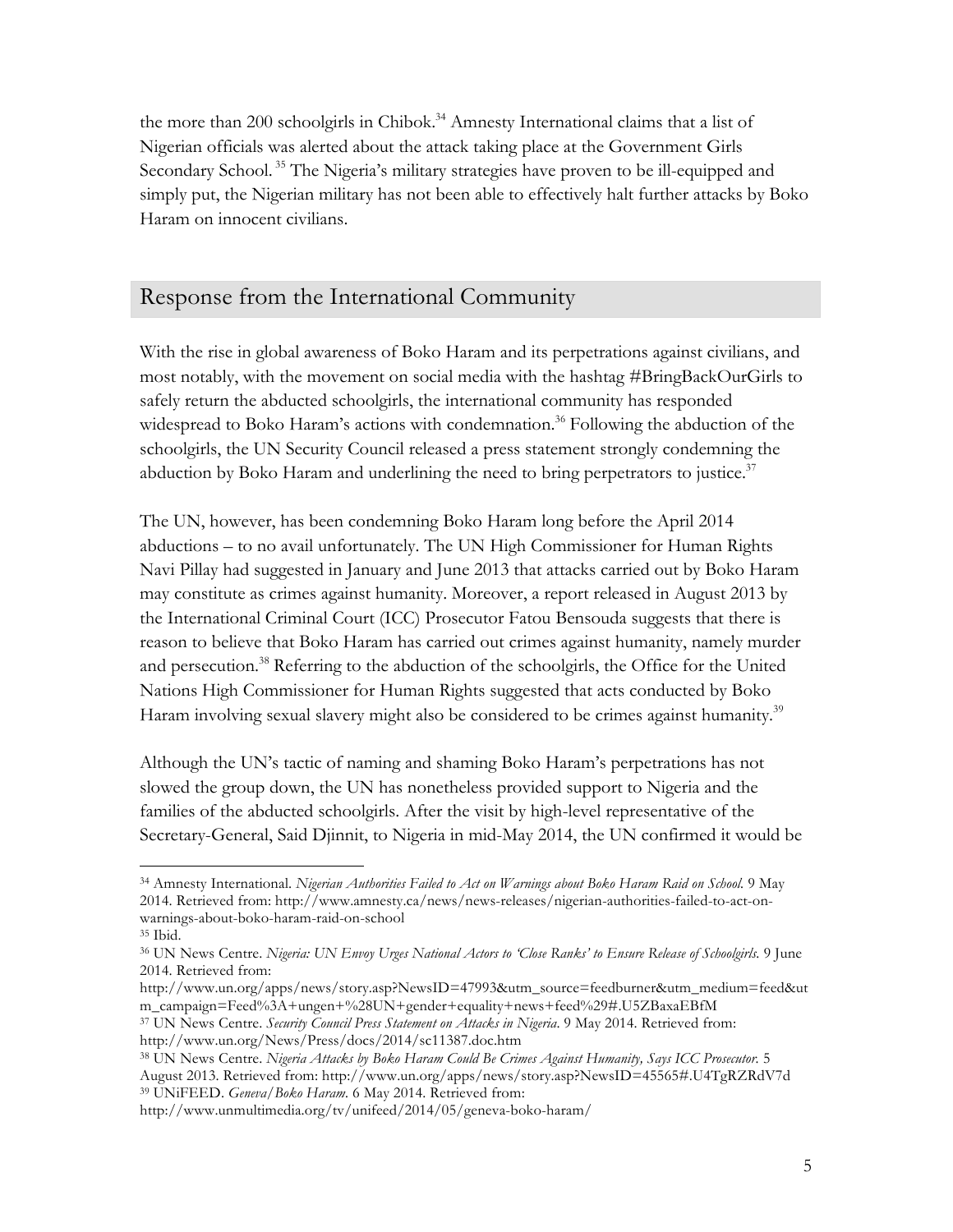the more than 200 schoolgirls in Chibok.<sup>34</sup> Amnesty International claims that a list of Nigerian officials was alerted about the attack taking place at the Government Girls Secondary School.<sup>35</sup> The Nigeria's military strategies have proven to be ill-equipped and simply put, the Nigerian military has not been able to effectively halt further attacks by Boko Haram on innocent civilians.

## Response from the International Community

With the rise in global awareness of Boko Haram and its perpetrations against civilians, and most notably, with the movement on social media with the hashtag #BringBackOurGirls to safely return the abducted schoolgirls, the international community has responded widespread to Boko Haram's actions with condemnation.<sup>36</sup> Following the abduction of the schoolgirls, the UN Security Council released a press statement strongly condemning the abduction by Boko Haram and underlining the need to bring perpetrators to justice.<sup>37</sup>

The UN, however, has been condemning Boko Haram long before the April 2014 abductions – to no avail unfortunately. The UN High Commissioner for Human Rights Navi Pillay had suggested in January and June 2013 that attacks carried out by Boko Haram may constitute as crimes against humanity. Moreover, a report released in August 2013 by the International Criminal Court (ICC) Prosecutor Fatou Bensouda suggests that there is reason to believe that Boko Haram has carried out crimes against humanity, namely murder and persecution.<sup>38</sup> Referring to the abduction of the schoolgirls, the Office for the United Nations High Commissioner for Human Rights suggested that acts conducted by Boko Haram involving sexual slavery might also be considered to be crimes against humanity.<sup>39</sup>

Although the UN's tactic of naming and shaming Boko Haram's perpetrations has not slowed the group down, the UN has nonetheless provided support to Nigeria and the families of the abducted schoolgirls. After the visit by high-level representative of the Secretary-General, Said Djinnit, to Nigeria in mid-May 2014, the UN confirmed it would be

<sup>34</sup> Amnesty International. *Nigerian Authorities Failed to Act on Warnings about Boko Haram Raid on School.* 9 May 2014. Retrieved from: http://www.amnesty.ca/news/news-releases/nigerian-authorities-failed-to-act-onwarnings-about-boko-haram-raid-on-school

<sup>35</sup> Ibid.

<sup>36</sup> UN News Centre. *Nigeria: UN Envoy Urges National Actors to 'Close Ranks' to Ensure Release of Schoolgirls.* 9 June 2014. Retrieved from:

http://www.un.org/apps/news/story.asp?NewsID=47993&utm\_source=feedburner&utm\_medium=feed&ut m\_campaign=Feed%3A+ungen+%28UN+gender+equality+news+feed%29#.U5ZBaxaEBfM

<sup>37</sup> UN News Centre. *Security Council Press Statement on Attacks in Nigeria*. 9 May 2014. Retrieved from: http://www.un.org/News/Press/docs/2014/sc11387.doc.htm

<sup>38</sup> UN News Centre. *Nigeria Attacks by Boko Haram Could Be Crimes Against Humanity, Says ICC Prosecutor.* 5 August 2013. Retrieved from: http://www.un.org/apps/news/story.asp?NewsID=45565#.U4TgRZRdV7d <sup>39</sup> UNiFEED. *Geneva/Boko Haram.* 6 May 2014. Retrieved from:

http://www.unmultimedia.org/tv/unifeed/2014/05/geneva-boko-haram/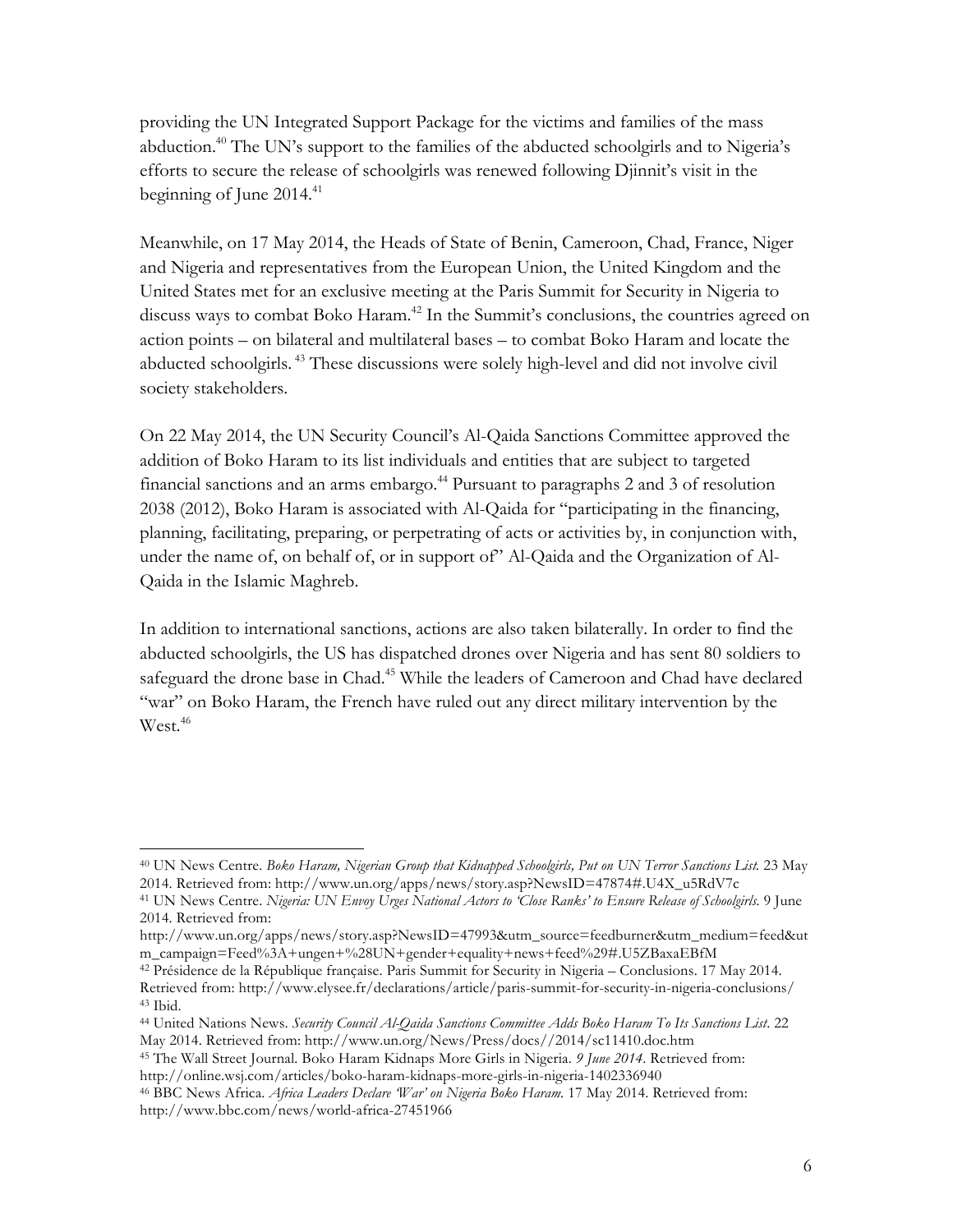providing the UN Integrated Support Package for the victims and families of the mass abduction.<sup>40</sup> The UN's support to the families of the abducted schoolgirls and to Nigeria's efforts to secure the release of schoolgirls was renewed following Djinnit's visit in the beginning of June  $2014.<sup>41</sup>$ 

Meanwhile, on 17 May 2014, the Heads of State of Benin, Cameroon, Chad, France, Niger and Nigeria and representatives from the European Union, the United Kingdom and the United States met for an exclusive meeting at the Paris Summit for Security in Nigeria to discuss ways to combat Boko Haram.<sup>42</sup> In the Summit's conclusions, the countries agreed on action points – on bilateral and multilateral bases – to combat Boko Haram and locate the abducted schoolgirls. <sup>43</sup> These discussions were solely high-level and did not involve civil society stakeholders.

On 22 May 2014, the UN Security Council's Al-Qaida Sanctions Committee approved the addition of Boko Haram to its list individuals and entities that are subject to targeted financial sanctions and an arms embargo.<sup>44</sup> Pursuant to paragraphs 2 and 3 of resolution 2038 (2012), Boko Haram is associated with Al-Qaida for "participating in the financing, planning, facilitating, preparing, or perpetrating of acts or activities by, in conjunction with, under the name of, on behalf of, or in support of" Al-Qaida and the Organization of Al-Qaida in the Islamic Maghreb.

In addition to international sanctions, actions are also taken bilaterally. In order to find the abducted schoolgirls, the US has dispatched drones over Nigeria and has sent 80 soldiers to safeguard the drone base in Chad.<sup>45</sup> While the leaders of Cameroon and Chad have declared "war" on Boko Haram, the French have ruled out any direct military intervention by the West.<sup>46</sup>

<sup>40</sup> UN News Centre. *Boko Haram, Nigerian Group that Kidnapped Schoolgirls, Put on UN Terror Sanctions List.* 23 May 2014. Retrieved from: http://www.un.org/apps/news/story.asp?NewsID=47874#.U4X\_u5RdV7c

<sup>41</sup> UN News Centre. *Nigeria: UN Envoy Urges National Actors to 'Close Ranks' to Ensure Release of Schoolgirls.* 9 June 2014. Retrieved from:

http://www.un.org/apps/news/story.asp?NewsID=47993&utm\_source=feedburner&utm\_medium=feed&ut m\_campaign=Feed%3A+ungen+%28UN+gender+equality+news+feed%29#.U5ZBaxaEBfM

<sup>42</sup> Présidence de la République française. Paris Summit for Security in Nigeria – Conclusions. 17 May 2014. Retrieved from: http://www.elysee.fr/declarations/article/paris-summit-for-security-in-nigeria-conclusions/ <sup>43</sup> Ibid.

<sup>44</sup> United Nations News. *Security Council Al-Qaida Sanctions Committee Adds Boko Haram To Its Sanctions List*. 22 May 2014. Retrieved from: http://www.un.org/News/Press/docs//2014/sc11410.doc.htm

<sup>45</sup> The Wall Street Journal. Boko Haram Kidnaps More Girls in Nigeria. *9 June 2014*. Retrieved from: http://online.wsj.com/articles/boko-haram-kidnaps-more-girls-in-nigeria-1402336940

<sup>46</sup> BBC News Africa. *Africa Leaders Declare 'War' on Nigeria Boko Haram.* 17 May 2014. Retrieved from: http://www.bbc.com/news/world-africa-27451966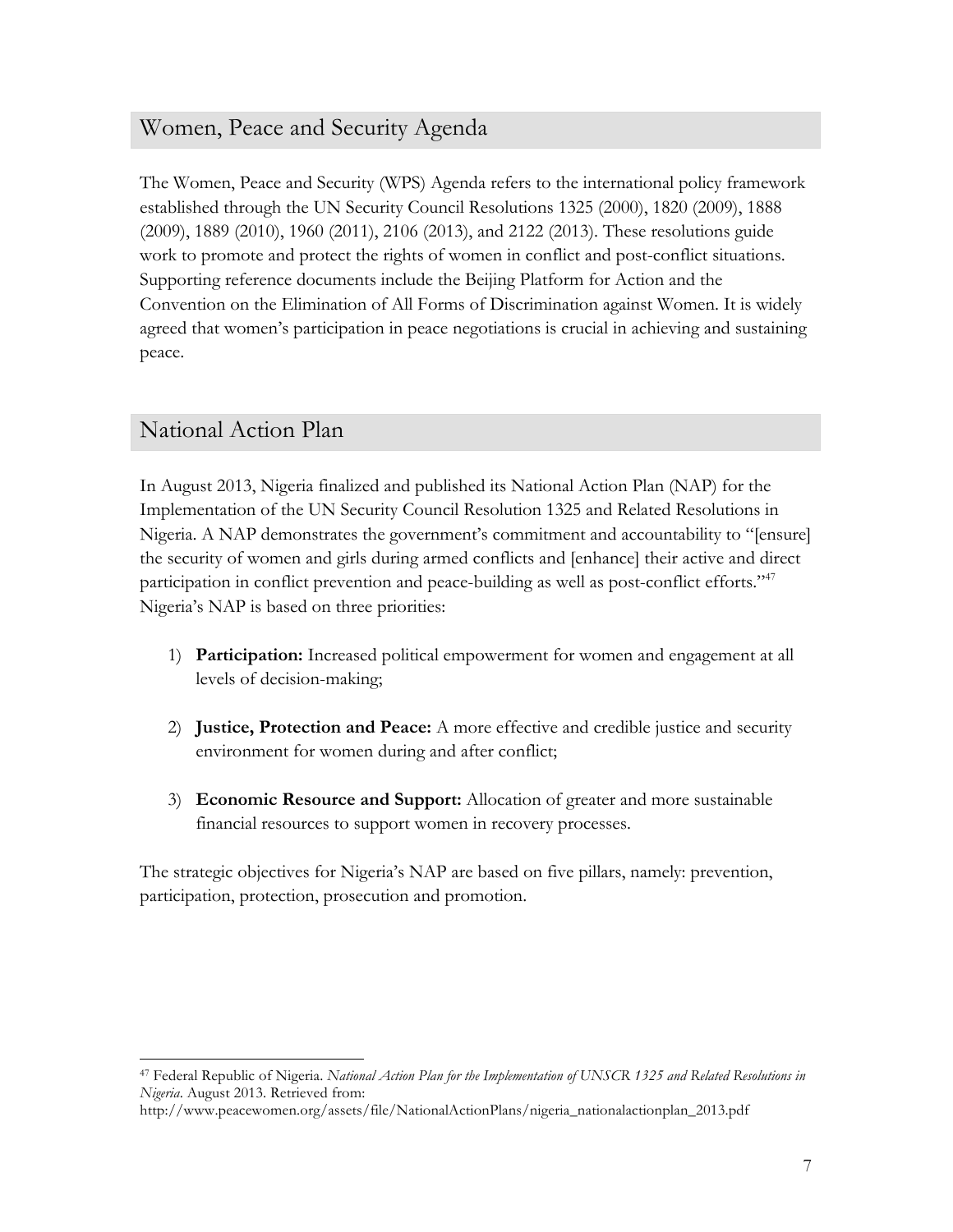### Women, Peace and Security Agenda

The Women, Peace and Security (WPS) Agenda refers to the international policy framework established through the UN Security Council Resolutions 1325 (2000), 1820 (2009), 1888 (2009), 1889 (2010), 1960 (2011), 2106 (2013), and 2122 (2013). These resolutions guide work to promote and protect the rights of women in conflict and post-conflict situations. Supporting reference documents include the Beijing Platform for Action and the Convention on the Elimination of All Forms of Discrimination against Women. It is widely agreed that women's participation in peace negotiations is crucial in achieving and sustaining peace.

#### National Action Plan

 

In August 2013, Nigeria finalized and published its National Action Plan (NAP) for the Implementation of the UN Security Council Resolution 1325 and Related Resolutions in Nigeria. A NAP demonstrates the government's commitment and accountability to "[ensure] the security of women and girls during armed conflicts and [enhance] their active and direct participation in conflict prevention and peace-building as well as post-conflict efforts."<sup>47</sup> Nigeria's NAP is based on three priorities:

- 1) **Participation:** Increased political empowerment for women and engagement at all levels of decision-making;
- 2) **Justice, Protection and Peace:** A more effective and credible justice and security environment for women during and after conflict;
- 3) **Economic Resource and Support:** Allocation of greater and more sustainable financial resources to support women in recovery processes.

The strategic objectives for Nigeria's NAP are based on five pillars, namely: prevention, participation, protection, prosecution and promotion.

<sup>47</sup> Federal Republic of Nigeria. *National Action Plan for the Implementation of UNSCR 1325 and Related Resolutions in Nigeria*. August 2013. Retrieved from:

http://www.peacewomen.org/assets/file/NationalActionPlans/nigeria\_nationalactionplan\_2013.pdf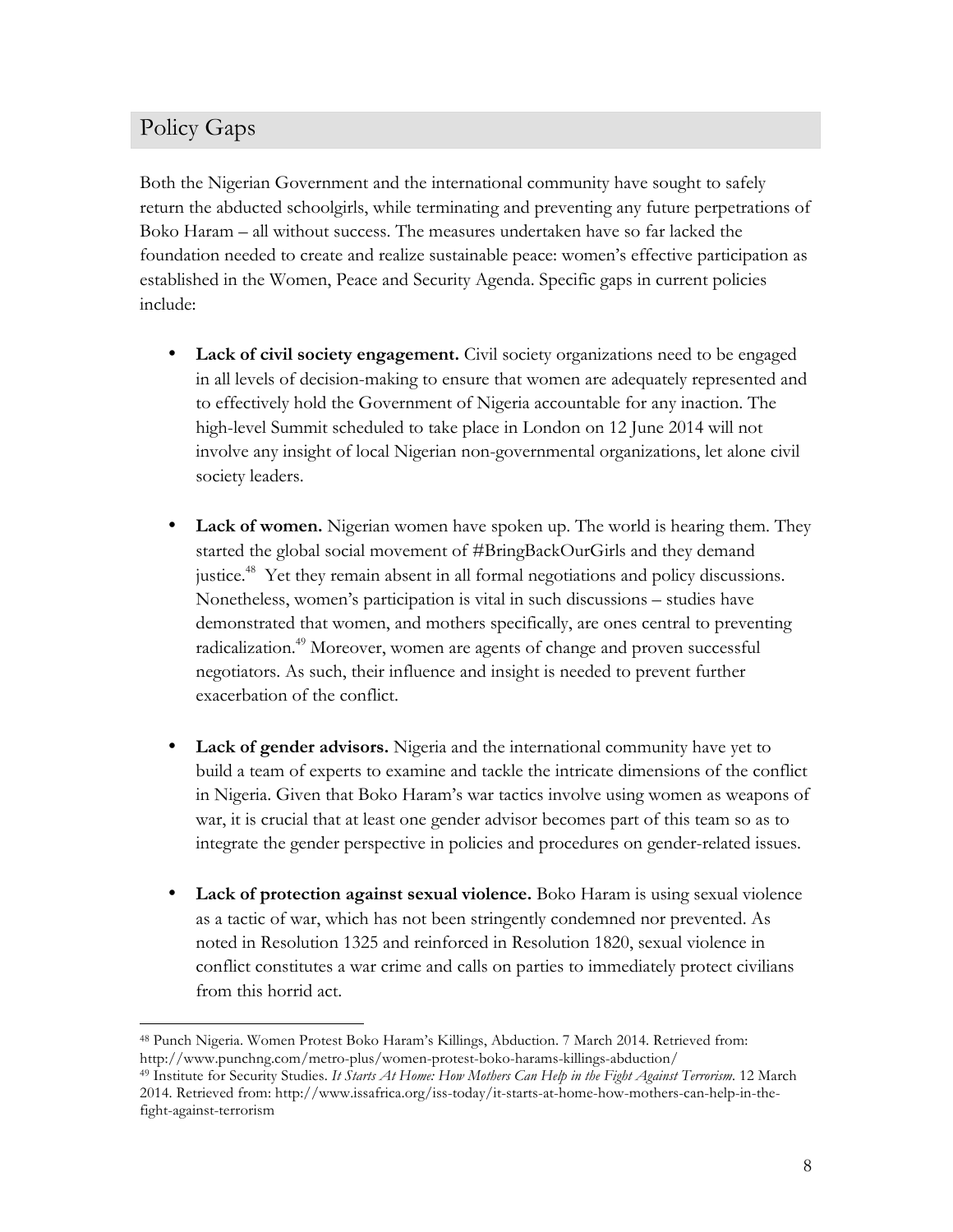# Policy Gaps

Both the Nigerian Government and the international community have sought to safely return the abducted schoolgirls, while terminating and preventing any future perpetrations of Boko Haram – all without success. The measures undertaken have so far lacked the foundation needed to create and realize sustainable peace: women's effective participation as established in the Women, Peace and Security Agenda. Specific gaps in current policies include:

- Lack of civil society engagement. Civil society organizations need to be engaged in all levels of decision-making to ensure that women are adequately represented and to effectively hold the Government of Nigeria accountable for any inaction. The high-level Summit scheduled to take place in London on 12 June 2014 will not involve any insight of local Nigerian non-governmental organizations, let alone civil society leaders.
- **Lack of women.** Nigerian women have spoken up. The world is hearing them. They started the global social movement of #BringBackOurGirls and they demand justice.<sup>48</sup> Yet they remain absent in all formal negotiations and policy discussions. Nonetheless, women's participation is vital in such discussions – studies have demonstrated that women, and mothers specifically, are ones central to preventing radicalization.<sup>49</sup> Moreover, women are agents of change and proven successful negotiators. As such, their influence and insight is needed to prevent further exacerbation of the conflict.
- **Lack of gender advisors.** Nigeria and the international community have yet to build a team of experts to examine and tackle the intricate dimensions of the conflict in Nigeria. Given that Boko Haram's war tactics involve using women as weapons of war, it is crucial that at least one gender advisor becomes part of this team so as to integrate the gender perspective in policies and procedures on gender-related issues.
- **Lack of protection against sexual violence.** Boko Haram is using sexual violence as a tactic of war, which has not been stringently condemned nor prevented. As noted in Resolution 1325 and reinforced in Resolution 1820, sexual violence in conflict constitutes a war crime and calls on parties to immediately protect civilians from this horrid act.

<sup>49</sup> Institute for Security Studies. *It Starts At Home: How Mothers Can Help in the Fight Against Terrorism.* 12 March 2014. Retrieved from: http://www.issafrica.org/iss-today/it-starts-at-home-how-mothers-can-help-in-thefight-against-terrorism

 <sup>48</sup> Punch Nigeria. Women Protest Boko Haram's Killings, Abduction. 7 March 2014. Retrieved from: http://www.punchng.com/metro-plus/women-protest-boko-harams-killings-abduction/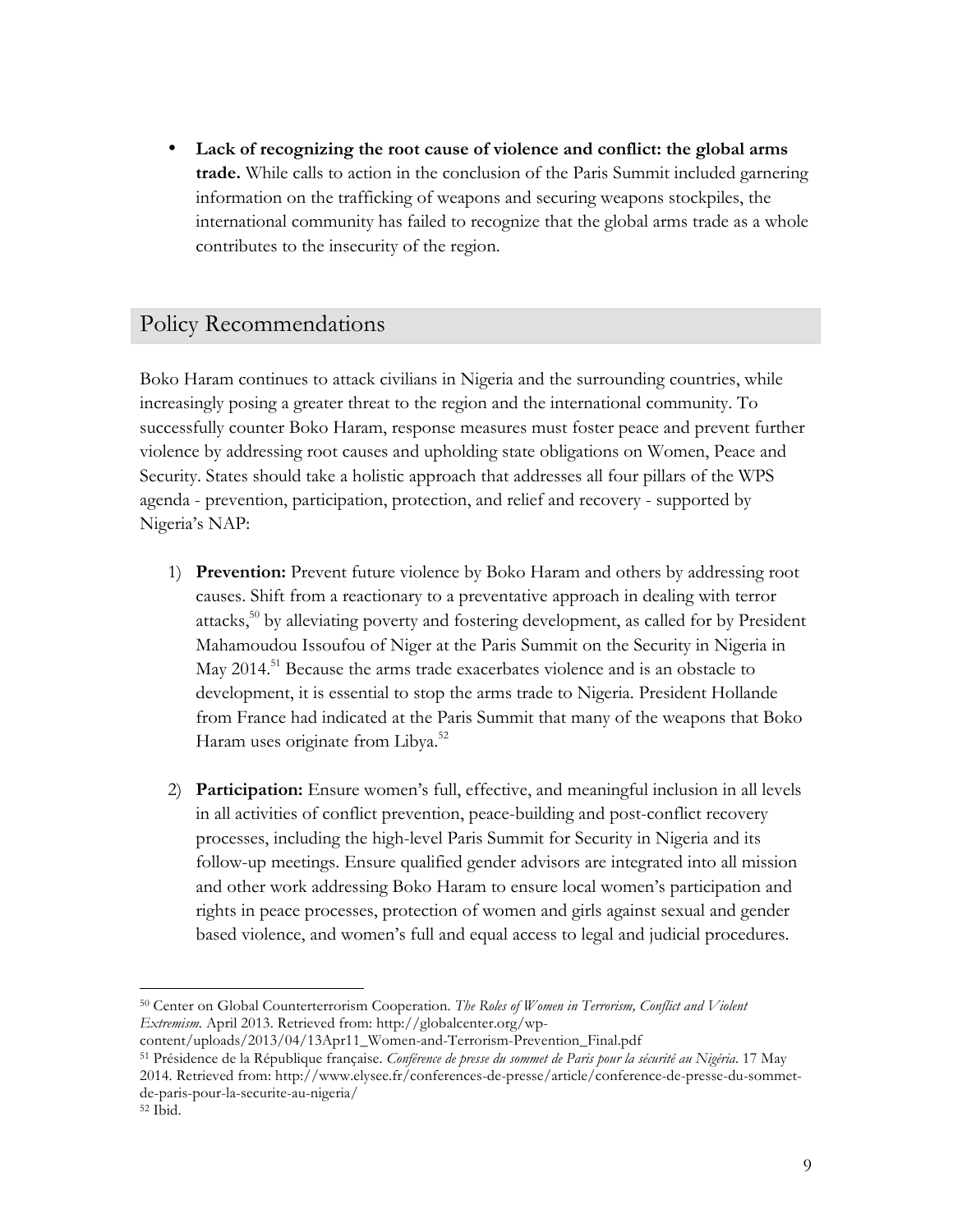• **Lack of recognizing the root cause of violence and conflict: the global arms trade.** While calls to action in the conclusion of the Paris Summit included garnering information on the trafficking of weapons and securing weapons stockpiles, the international community has failed to recognize that the global arms trade as a whole contributes to the insecurity of the region.

#### Policy Recommendations

Boko Haram continues to attack civilians in Nigeria and the surrounding countries, while increasingly posing a greater threat to the region and the international community. To successfully counter Boko Haram, response measures must foster peace and prevent further violence by addressing root causes and upholding state obligations on Women, Peace and Security. States should take a holistic approach that addresses all four pillars of the WPS agenda - prevention, participation, protection, and relief and recovery - supported by Nigeria's NAP:

- 1) **Prevention:** Prevent future violence by Boko Haram and others by addressing root causes. Shift from a reactionary to a preventative approach in dealing with terror attacks,<sup>50</sup> by alleviating poverty and fostering development, as called for by President Mahamoudou Issoufou of Niger at the Paris Summit on the Security in Nigeria in May 2014.<sup>51</sup> Because the arms trade exacerbates violence and is an obstacle to development, it is essential to stop the arms trade to Nigeria. President Hollande from France had indicated at the Paris Summit that many of the weapons that Boko Haram uses originate from Libya.<sup>52</sup>
- 2) **Participation:** Ensure women's full, effective, and meaningful inclusion in all levels in all activities of conflict prevention, peace-building and post-conflict recovery processes, including the high-level Paris Summit for Security in Nigeria and its follow-up meetings. Ensure qualified gender advisors are integrated into all mission and other work addressing Boko Haram to ensure local women's participation and rights in peace processes, protection of women and girls against sexual and gender based violence, and women's full and equal access to legal and judicial procedures.

<sup>50</sup> Center on Global Counterterrorism Cooperation. *The Roles of Women in Terrorism, Conflict and Violent Extremism.* April 2013. Retrieved from: http://globalcenter.org/wp-

content/uploads/2013/04/13Apr11\_Women-and-Terrorism-Prevention\_Final.pdf

<sup>51</sup> Présidence de la République française. *Conférence de presse du sommet de Paris pour la sécurité au Nigéria*. 17 May 2014. Retrieved from: http://www.elysee.fr/conferences-de-presse/article/conference-de-presse-du-sommetde-paris-pour-la-securite-au-nigeria/